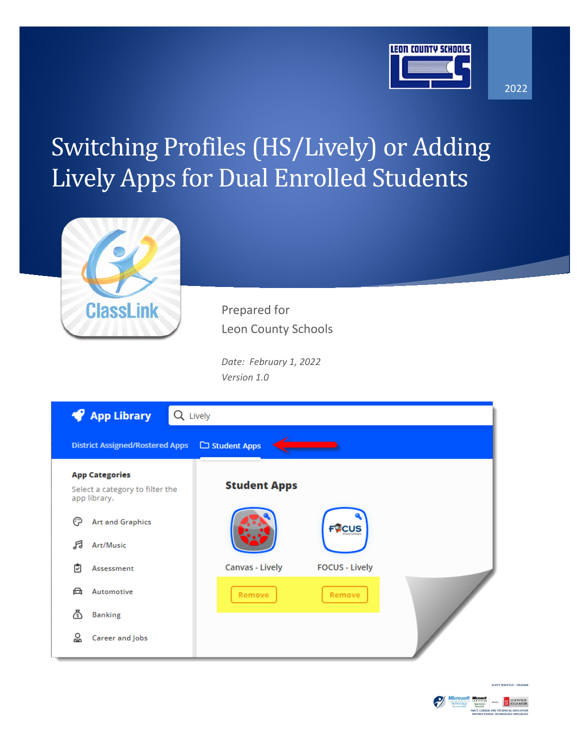

2022

## Switching Profiles (HS/Lively) or Adding Lively Apps for Dual Enrolled Students



Prepared for Leon County Schools

*Date: February 1, 2022 Version 1.0*

| <b>App Library</b><br>₩                                                  | Lively              |                       |  |
|--------------------------------------------------------------------------|---------------------|-----------------------|--|
| <b>District Assigned/Rostered Apps</b>                                   | Student Apps        |                       |  |
| <b>App Categories</b><br>Select a category to filter the<br>app library. | <b>Student Apps</b> |                       |  |
| ∩<br><b>Art and Graphics</b>                                             |                     | <b>FOCUS</b>          |  |
| Я<br>Art/Music<br>₿<br>Assessment                                        | Canvas - Lively     | <b>FOCUS - Lively</b> |  |
| 恕<br>Automotive                                                          | Remove              | Remove                |  |
| ふ<br><b>Banking</b>                                                      |                     |                       |  |
| လ္က<br>Career and Jobs                                                   |                     |                       |  |



**SCOTT WHITTLE – TRA**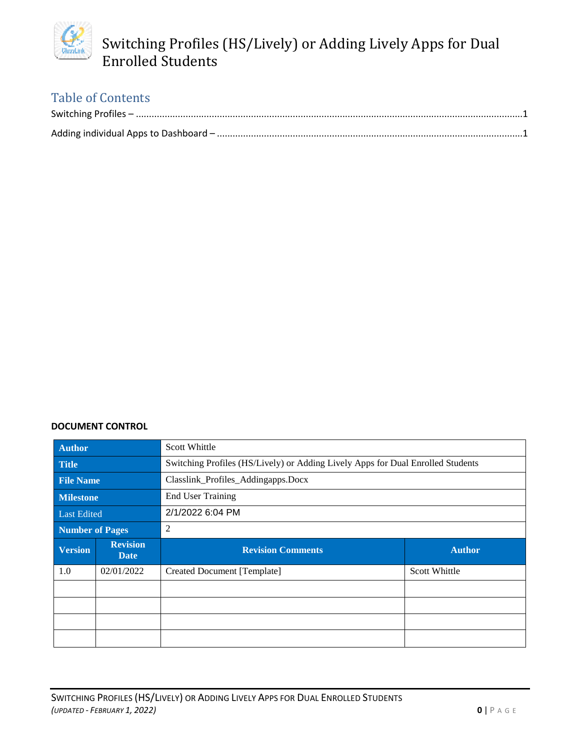

### Table of Contents

#### **DOCUMENT CONTROL**

| Author               |                                | <b>Scott Whittle</b>                                                            |                      |  |
|----------------------|--------------------------------|---------------------------------------------------------------------------------|----------------------|--|
| Title                |                                | Switching Profiles (HS/Lively) or Adding Lively Apps for Dual Enrolled Students |                      |  |
| <b>File Name</b>     |                                | Classlink_Profiles_Addingapps.Docx                                              |                      |  |
| <b>Milestone</b>     |                                | <b>End User Training</b>                                                        |                      |  |
| Last Edited          |                                | 2/1/2022 6:04 PM                                                                |                      |  |
| 2<br>Number of Pages |                                |                                                                                 |                      |  |
|                      |                                |                                                                                 |                      |  |
|                      | <b>Revision</b><br><b>Date</b> | <b>Revision Comments</b>                                                        | <b>Author</b>        |  |
| 1.0                  | 02/01/2022                     | <b>Created Document [Template]</b>                                              | <b>Scott Whittle</b> |  |
|                      |                                |                                                                                 |                      |  |
| <b>Version</b>       |                                |                                                                                 |                      |  |
|                      |                                |                                                                                 |                      |  |